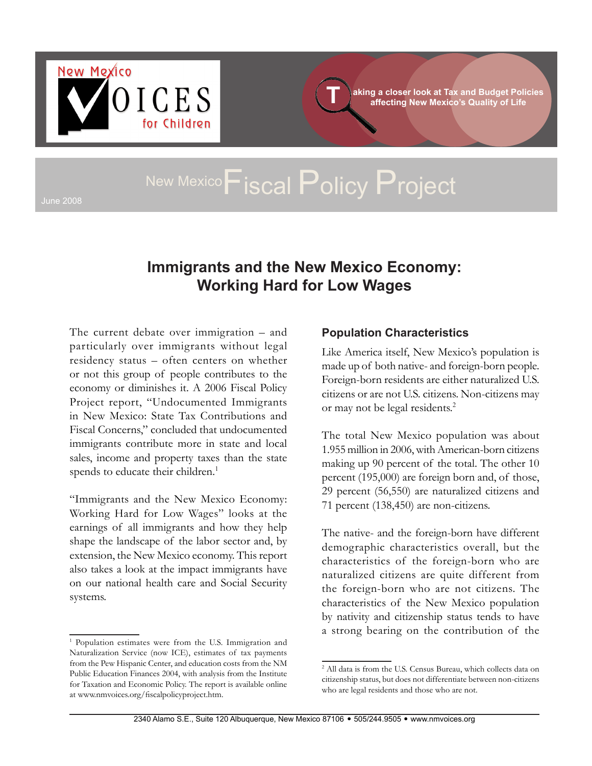

**aking a closer look at Tax and Budget Policies T affecting New Mexico's Quality of Life**

# June 2008 New Mexico**F**iscal Policy Project

## **Immigrants and the New Mexico Economy: Working Hard for Low Wages**

The current debate over immigration – and particularly over immigrants without legal residency status – often centers on whether or not this group of people contributes to the economy or diminishes it. A 2006 Fiscal Policy Project report, "Undocumented Immigrants in New Mexico: State Tax Contributions and Fiscal Concerns," concluded that undocumented immigrants contribute more in state and local sales, income and property taxes than the state spends to educate their children.<sup>1</sup>

"Immigrants and the New Mexico Economy: Working Hard for Low Wages" looks at the earnings of all immigrants and how they help shape the landscape of the labor sector and, by extension, the New Mexico economy. This report also takes a look at the impact immigrants have on our national health care and Social Security systems.

#### **Population Characteristics**

Like America itself, New Mexico's population is made up of both native- and foreign-born people. Foreign-born residents are either naturalized U.S. citizens or are not U.S. citizens. Non-citizens may or may not be legal residents.<sup>2</sup>

The total New Mexico population was about 1.955 million in 2006, with American-born citizens making up 90 percent of the total. The other 10 percent (195,000) are foreign born and, of those, 29 percent (56,550) are naturalized citizens and 71 percent (138,450) are non-citizens.

The native- and the foreign-born have different demographic characteristics overall, but the characteristics of the foreign-born who are naturalized citizens are quite different from the foreign-born who are not citizens. The characteristics of the New Mexico population by nativity and citizenship status tends to have a strong bearing on the contribution of the

<sup>&</sup>lt;sup>1</sup> Population estimates were from the U.S. Immigration and Naturalization Service (now ICE), estimates of tax payments from the Pew Hispanic Center, and education costs from the NM Public Education Finances 2004, with analysis from the Institute for Taxation and Economic Policy. The report is available online at www.nmvoices.org/fiscalpolicyproject.htm.

<sup>2</sup> All data is from the U.S. Census Bureau, which collects data on citizenship status, but does not differentiate between non-citizens who are legal residents and those who are not.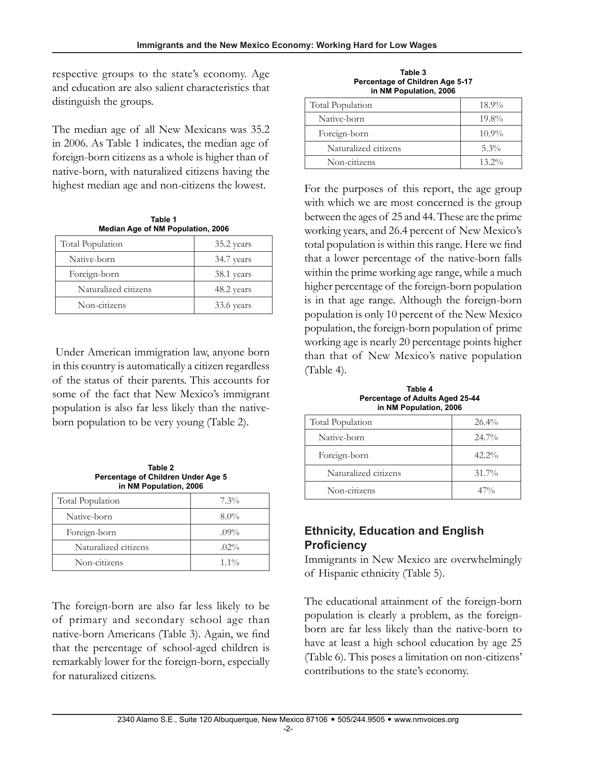respective groups to the state's economy. Age and education are also salient characteristics that distinguish the groups.

The median age of all New Mexicans was 35.2 in 2006. As Table 1 indicates, the median age of foreign-born citizens as a whole is higher than of native-born, with naturalized citizens having the highest median age and non-citizens the lowest. For the purposes of this report, the age group

**Table 1 Median Age of NM Population, 2006**

| <b>Total Population</b> | 35.2 years |
|-------------------------|------------|
| Native-born             | 34.7 years |
| Foreign-born            | 38.1 years |
| Naturalized citizens    | 48.2 years |
| Non-citizens            | 33.6 years |

 Under American immigration law, anyone born in this country is automatically a citizen regardless of the status of their parents. This accounts for some of the fact that New Mexico's immigrant population is also far less likely than the nativeborn population to be very young (Table 2).

**Table 2 Percentage of Children Under Age 5 in NM Population, 2006**

| Total Population     | $7.3\%$ |
|----------------------|---------|
| Native-born          | $8.0\%$ |
| Foreign-born         | $.09\%$ |
| Naturalized citizens | $.02\%$ |
| Non-citizens         | $1.1\%$ |

The foreign-born are also far less likely to be of primary and secondary school age than native-born Americans (Table 3). Again, we find that the percentage of school-aged children is remarkably lower for the foreign-born, especially for naturalized citizens.

| Table 3                         |  |
|---------------------------------|--|
| Percentage of Children Age 5-17 |  |
| in NM Population, 2006          |  |

| Total Population     | $18.9\%$ |
|----------------------|----------|
| Native-born          | $19.8\%$ |
| Foreign-born         | $10.9\%$ |
| Naturalized citizens | $5.3\%$  |
| Non-citizens         | $13.2\%$ |

with which we are most concerned is the group between the ages of 25 and 44. These are the prime working years, and 26.4 percent of New Mexico's total population is within this range. Here we find that a lower percentage of the native-born falls within the prime working age range, while a much higher percentage of the foreign-born population is in that age range. Although the foreign-born population is only 10 percent of the New Mexico population, the foreign-born population of prime working age is nearly 20 percentage points higher than that of New Mexico's native population (Table 4).

**Table 4 Percentage of Adults Aged 25-44 in NM Population, 2006**

| <b>Total Population</b> | $26.4\%$ |
|-------------------------|----------|
| Native-born             | $24.7\%$ |
| Foreign-born            | $42.2\%$ |
| Naturalized citizens    | $31.7\%$ |
| Non-citizens            | $47\%$   |

### **Ethnicity, Education and English Proficiency**

Immigrants in New Mexico are overwhelmingly of Hispanic ethnicity (Table 5).

The educational attainment of the foreign-born population is clearly a problem, as the foreignborn are far less likely than the native-born to have at least a high school education by age 25 (Table 6). This poses a limitation on non-citizens' contributions to the state's economy.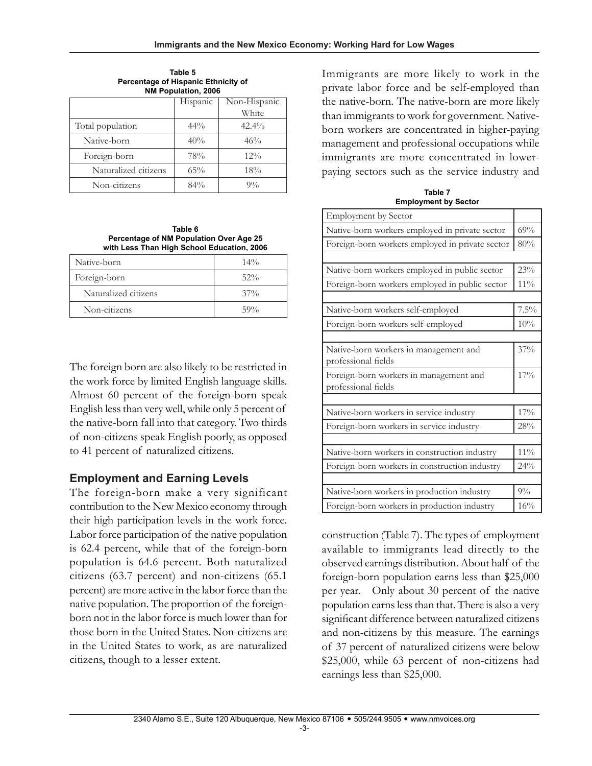| NM PODUIAtion, 2006  |          |              |
|----------------------|----------|--------------|
|                      | Hispanic | Non-Hispanic |
|                      |          | White        |
| Total population     | $44\%$   | 42.4%        |
| Native-born          | 40%      | 46%          |
| Foreign-born         | 78%      | $12\%$       |
| Naturalized citizens | $65\%$   | 18%          |
| Non-citizens         | 84%      | $9\%$        |

**Table 5 Percentage of Hispanic Ethnicity of NM Population, 2006**

**Table 6 Percentage of NM Population Over Age 25 with Less Than High School Education, 2006**

| Native-born          | $14\%$ |
|----------------------|--------|
| Foreign-born         | $52\%$ |
| Naturalized citizens | $37\%$ |
| Non-citizens         | 59%    |

The foreign born are also likely to be restricted in the work force by limited English language skills. Almost 60 percent of the foreign-born speak English less than very well, while only 5 percent of the native-born fall into that category. Two thirds of non-citizens speak English poorly, as opposed to 41 percent of naturalized citizens.

## **Employment and Earning Levels**

The foreign-born make a very significant contribution to the New Mexico economy through their high participation levels in the work force. Labor force participation of the native population is 62.4 percent, while that of the foreign-born population is 64.6 percent. Both naturalized citizens (63.7 percent) and non-citizens (65.1 percent) are more active in the labor force than the native population. The proportion of the foreignborn not in the labor force is much lower than for those born in the United States. Non-citizens are in the United States to work, as are naturalized citizens, though to a lesser extent.

Immigrants are more likely to work in the private labor force and be self-employed than the native-born. The native-born are more likely than immigrants to work for government. Nativeborn workers are concentrated in higher-paying management and professional occupations while immigrants are more concentrated in lowerpaying sectors such as the service industry and

**Table 7 Employment by Sector**

| <b>Employment by Sector</b>                                   |        |
|---------------------------------------------------------------|--------|
| Native-born workers employed in private sector                | 69%    |
| Foreign-born workers employed in private sector               | 80%    |
|                                                               |        |
| Native-born workers employed in public sector                 | 23%    |
| Foreign-born workers employed in public sector                | 11%    |
|                                                               | 7.5%   |
| Native-born workers self-employed                             |        |
| Foreign-born workers self-employed                            | 10%    |
| Native-born workers in management and<br>professional fields  | 37%    |
| Foreign-born workers in management and<br>professional fields | 17%    |
|                                                               |        |
| Native-born workers in service industry                       | 17%    |
| Foreign-born workers in service industry                      | 28%    |
|                                                               |        |
| Native-born workers in construction industry                  | $11\%$ |
| Foreign-born workers in construction industry                 | 24%    |
|                                                               |        |
| Native-born workers in production industry                    | $9\%$  |
| Foreign-born workers in production industry                   | 16%    |

construction (Table 7). The types of employment available to immigrants lead directly to the observed earnings distribution. About half of the foreign-born population earns less than \$25,000 per year. Only about 30 percent of the native population earns less than that. There is also a very significant difference between naturalized citizens and non-citizens by this measure. The earnings of 37 percent of naturalized citizens were below \$25,000, while 63 percent of non-citizens had earnings less than \$25,000.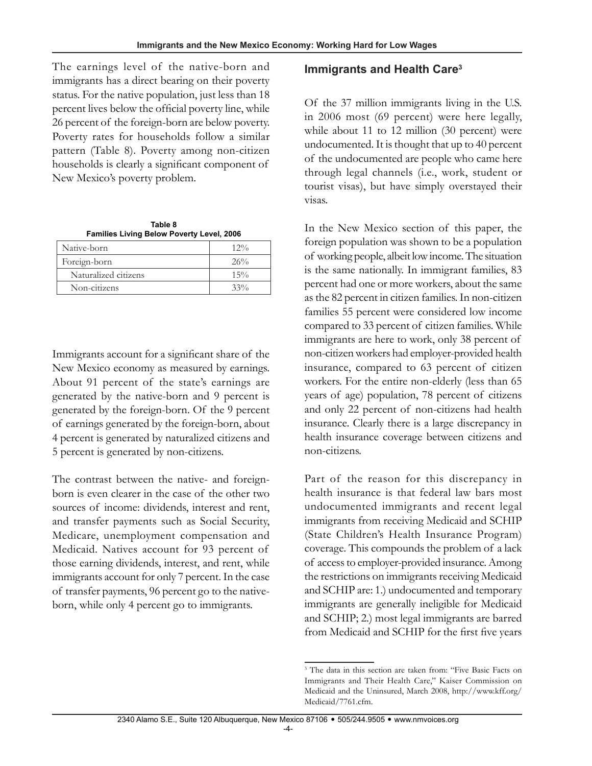The earnings level of the native-born and immigrants has a direct bearing on their poverty status. For the native population, just less than 18 percent lives below the official poverty line, while 26 percent of the foreign-born are below poverty. Poverty rates for households follow a similar pattern (Table 8). Poverty among non-citizen households is clearly a significant component of New Mexico's poverty problem.

| Table 8                                          |
|--------------------------------------------------|
| <b>Families Living Below Poverty Level, 2006</b> |
|                                                  |

| Native-born          | $12\%$ |
|----------------------|--------|
| Foreign-born         | 26%    |
| Naturalized citizens | $15\%$ |
| Non-citizens         | $33\%$ |

Immigrants account for a significant share of the New Mexico economy as measured by earnings. About 91 percent of the state's earnings are generated by the native-born and 9 percent is generated by the foreign-born. Of the 9 percent of earnings generated by the foreign-born, about 4 percent is generated by naturalized citizens and 5 percent is generated by non-citizens.

The contrast between the native- and foreignborn is even clearer in the case of the other two sources of income: dividends, interest and rent, and transfer payments such as Social Security, Medicare, unemployment compensation and Medicaid. Natives account for 93 percent of those earning dividends, interest, and rent, while immigrants account for only 7 percent. In the case of transfer payments, 96 percent go to the nativeborn, while only 4 percent go to immigrants.

#### **Immigrants and Health Care3**

Of the 37 million immigrants living in the U.S. in 2006 most (69 percent) were here legally, while about 11 to 12 million (30 percent) were undocumented. It is thought that up to 40 percent of the undocumented are people who came here through legal channels (i.e., work, student or tourist visas), but have simply overstayed their visas.

In the New Mexico section of this paper, the foreign population was shown to be a population of working people, albeit low income. The situation is the same nationally. In immigrant families, 83 percent had one or more workers, about the same as the 82 percent in citizen families. In non-citizen families 55 percent were considered low income compared to 33 percent of citizen families. While immigrants are here to work, only 38 percent of non-citizen workers had employer-provided health insurance, compared to 63 percent of citizen workers. For the entire non-elderly (less than 65 years of age) population, 78 percent of citizens and only 22 percent of non-citizens had health insurance. Clearly there is a large discrepancy in health insurance coverage between citizens and non-citizens.

Part of the reason for this discrepancy in health insurance is that federal law bars most undocumented immigrants and recent legal immigrants from receiving Medicaid and SCHIP (State Children's Health Insurance Program) coverage. This compounds the problem of a lack of access to employer-provided insurance. Among the restrictions on immigrants receiving Medicaid and SCHIP are: 1.) undocumented and temporary immigrants are generally ineligible for Medicaid and SCHIP; 2.) most legal immigrants are barred from Medicaid and SCHIP for the first five years

<sup>&</sup>lt;sup>3</sup> The data in this section are taken from: "Five Basic Facts on Immigrants and Their Health Care," Kaiser Commission on Medicaid and the Uninsured, March 2008, http://www.kff.org/ Medicaid/7761.cfm.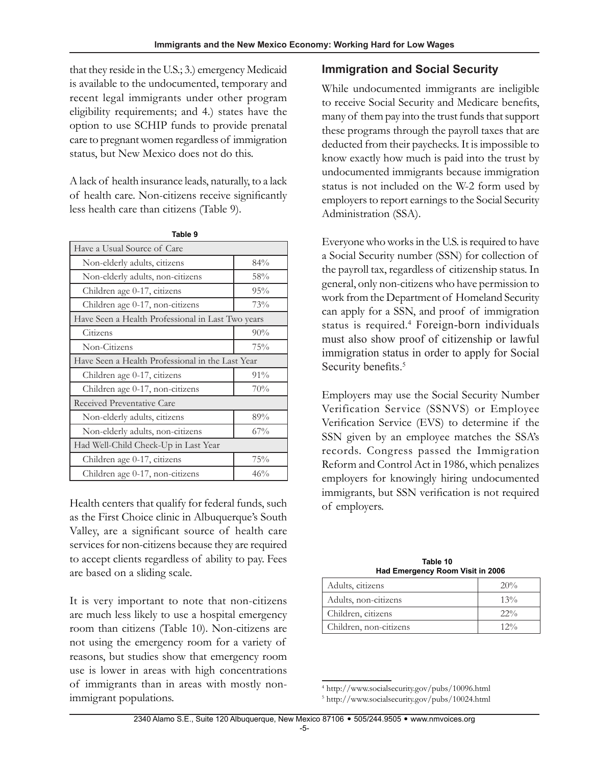that they reside in the U.S.; 3.) emergency Medicaid is available to the undocumented, temporary and recent legal immigrants under other program eligibility requirements; and 4.) states have the option to use SCHIP funds to provide prenatal care to pregnant women regardless of immigration status, but New Mexico does not do this.

A lack of health insurance leads, naturally, to a lack of health care. Non-citizens receive significantly less health care than citizens (Table 9).

| Have a Usual Source of Care                       |     |  |
|---------------------------------------------------|-----|--|
| Non-elderly adults, citizens                      | 84% |  |
| Non-elderly adults, non-citizens                  | 58% |  |
| Children age 0-17, citizens                       | 95% |  |
| Children age 0-17, non-citizens                   | 73% |  |
| Have Seen a Health Professional in Last Two years |     |  |
| Citizens                                          | 90% |  |
| Non-Citizens                                      | 75% |  |
| Have Seen a Health Professional in the Last Year  |     |  |
| Children age 0-17, citizens                       | 91% |  |
| Children age 0-17, non-citizens                   | 70% |  |
| Received Preventative Care                        |     |  |
| Non-elderly adults, citizens                      | 89% |  |
| Non-elderly adults, non-citizens                  | 67% |  |
| Had Well-Child Check-Up in Last Year              |     |  |
| Children age 0-17, citizens                       | 75% |  |
| Children age 0-17, non-citizens                   | 46% |  |

**Table 9**

Health centers that qualify for federal funds, such as the First Choice clinic in Albuquerque's South Valley, are a significant source of health care services for non-citizens because they are required to accept clients regardless of ability to pay. Fees are based on a sliding scale.

It is very important to note that non-citizens are much less likely to use a hospital emergency room than citizens (Table 10). Non-citizens are not using the emergency room for a variety of reasons, but studies show that emergency room use is lower in areas with high concentrations of immigrants than in areas with mostly nonimmigrant populations.

## **Immigration and Social Security**

While undocumented immigrants are ineligible to receive Social Security and Medicare benefits, many of them pay into the trust funds that support these programs through the payroll taxes that are deducted from their paychecks. It is impossible to know exactly how much is paid into the trust by undocumented immigrants because immigration status is not included on the W-2 form used by employers to report earnings to the Social Security Administration (SSA).

Everyone who works in the U.S. is required to have a Social Security number (SSN) for collection of the payroll tax, regardless of citizenship status. In general, only non-citizens who have permission to work from the Department of Homeland Security can apply for a SSN, and proof of immigration status is required.<sup>4</sup> Foreign-born individuals must also show proof of citizenship or lawful immigration status in order to apply for Social Security benefits.<sup>5</sup>

Employers may use the Social Security Number Verification Service (SSNVS) or Employee Verification Service (EVS) to determine if the SSN given by an employee matches the SSA's records. Congress passed the Immigration Reform and Control Act in 1986, which penalizes employers for knowingly hiring undocumented immigrants, but SSN verification is not required of employers.

> **Table 10 Had Emergency Room Visit in 2006**

| Adults, citizens       | 20%    |
|------------------------|--------|
| Adults, non-citizens   | $13\%$ |
| Children, citizens     | $22\%$ |
| Children, non-citizens | $12\%$ |

<sup>4</sup> http://www.socialsecurity.gov/pubs/10096.html 5 http://www.socialsecurity.gov/pubs/10024.html